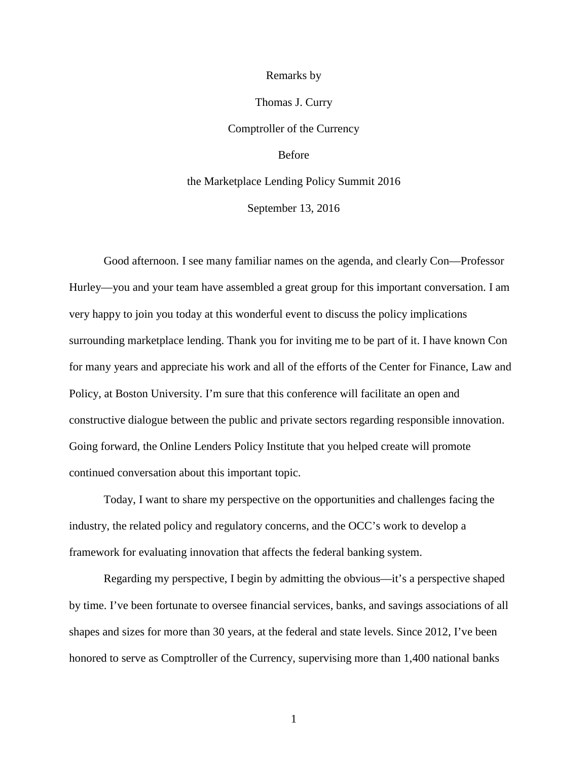## Remarks by

## Thomas J. Curry

Comptroller of the Currency

## Before

## the Marketplace Lending Policy Summit 2016 September 13, 2016

Good afternoon. I see many familiar names on the agenda, and clearly Con—Professor Hurley—you and your team have assembled a great group for this important conversation. I am very happy to join you today at this wonderful event to discuss the policy implications surrounding marketplace lending. Thank you for inviting me to be part of it. I have known Con for many years and appreciate his work and all of the efforts of the Center for Finance, Law and Policy, at Boston University. I'm sure that this conference will facilitate an open and constructive dialogue between the public and private sectors regarding responsible innovation. Going forward, the Online Lenders Policy Institute that you helped create will promote continued conversation about this important topic.

Today, I want to share my perspective on the opportunities and challenges facing the industry, the related policy and regulatory concerns, and the OCC's work to develop a framework for evaluating innovation that affects the federal banking system.

Regarding my perspective, I begin by admitting the obvious—it's a perspective shaped by time. I've been fortunate to oversee financial services, banks, and savings associations of all shapes and sizes for more than 30 years, at the federal and state levels. Since 2012, I've been honored to serve as Comptroller of the Currency, supervising more than 1,400 national banks

1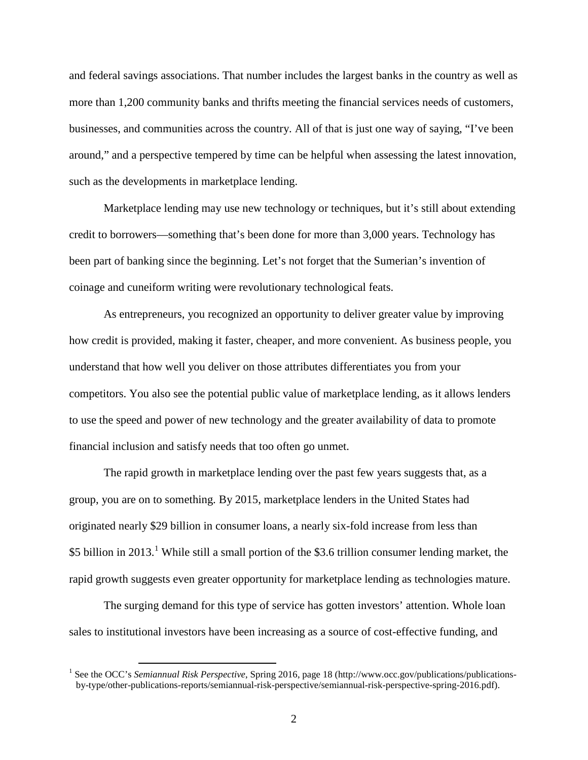and federal savings associations. That number includes the largest banks in the country as well as more than 1,200 community banks and thrifts meeting the financial services needs of customers, businesses, and communities across the country. All of that is just one way of saying, "I've been around," and a perspective tempered by time can be helpful when assessing the latest innovation, such as the developments in marketplace lending.

Marketplace lending may use new technology or techniques, but it's still about extending credit to borrowers—something that's been done for more than 3,000 years. Technology has been part of banking since the beginning. Let's not forget that the Sumerian's invention of coinage and cuneiform writing were revolutionary technological feats.

As entrepreneurs, you recognized an opportunity to deliver greater value by improving how credit is provided, making it faster, cheaper, and more convenient. As business people, you understand that how well you deliver on those attributes differentiates you from your competitors. You also see the potential public value of marketplace lending, as it allows lenders to use the speed and power of new technology and the greater availability of data to promote financial inclusion and satisfy needs that too often go unmet.

The rapid growth in marketplace lending over the past few years suggests that, as a group, you are on to something. By 2015, marketplace lenders in the United States had originated nearly \$29 billion in consumer loans, a nearly six-fold increase from less than \$5 billion in 20[1](#page-1-0)3.<sup>1</sup> While still a small portion of the \$3.6 trillion consumer lending market, the rapid growth suggests even greater opportunity for marketplace lending as technologies mature.

The surging demand for this type of service has gotten investors' attention. Whole loan sales to institutional investors have been increasing as a source of cost-effective funding, and

<span id="page-1-0"></span> <sup>1</sup> See the OCC's *Semiannual Risk Perspective*, Spring 2016, page 18 (http://www.occ.gov/publications/publicationsby-type/other-publications-reports/semiannual-risk-perspective/semiannual-risk-perspective-spring-2016.pdf).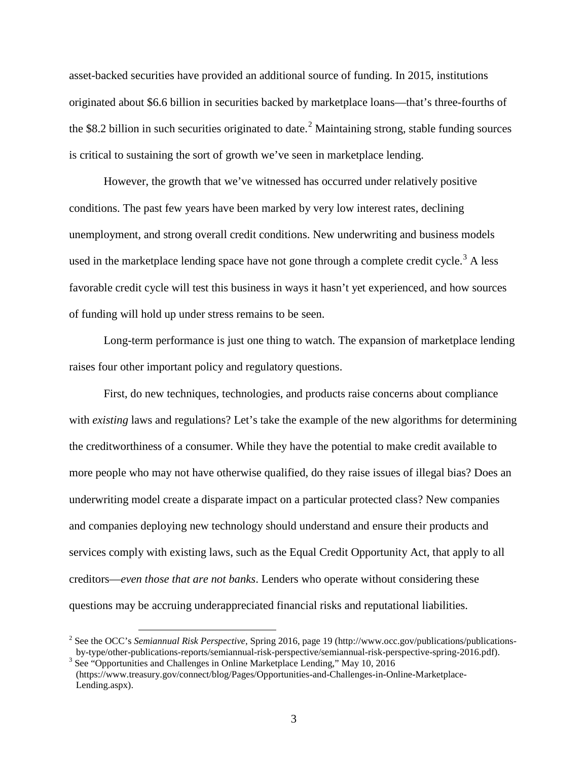asset-backed securities have provided an additional source of funding. In 2015, institutions originated about \$6.6 billion in securities backed by marketplace loans—that's three-fourths of the \$8.[2](#page-2-0) billion in such securities originated to date.<sup>2</sup> Maintaining strong, stable funding sources is critical to sustaining the sort of growth we've seen in marketplace lending.

However, the growth that we've witnessed has occurred under relatively positive conditions. The past few years have been marked by very low interest rates, declining unemployment, and strong overall credit conditions. New underwriting and business models used in the marketplace lending space have not gone through a complete credit cycle.<sup>[3](#page-2-1)</sup> A less favorable credit cycle will test this business in ways it hasn't yet experienced, and how sources of funding will hold up under stress remains to be seen.

Long-term performance is just one thing to watch. The expansion of marketplace lending raises four other important policy and regulatory questions.

First, do new techniques, technologies, and products raise concerns about compliance with *existing* laws and regulations? Let's take the example of the new algorithms for determining the creditworthiness of a consumer. While they have the potential to make credit available to more people who may not have otherwise qualified, do they raise issues of illegal bias? Does an underwriting model create a disparate impact on a particular protected class? New companies and companies deploying new technology should understand and ensure their products and services comply with existing laws, such as the Equal Credit Opportunity Act, that apply to all creditors—*even those that are not banks*. Lenders who operate without considering these questions may be accruing underappreciated financial risks and reputational liabilities.

<span id="page-2-0"></span><sup>&</sup>lt;sup>2</sup> See the OCC's *Semiannual Risk Perspective*, Spring 2016, page 19 (http://www.occ.gov/publications/publications-<br>by-type/other-publications-reports/semiannual-risk-perspective/semiannual-risk-perspective-spring-2016.pd

<span id="page-2-1"></span> $3$  See "Opportunities and Challenges in Online Marketplace Lending," May 10, 2016. (https://www.treasury.gov/connect/blog/Pages/Opportunities-and-Challenges-in-Online-Marketplace-Lending.aspx).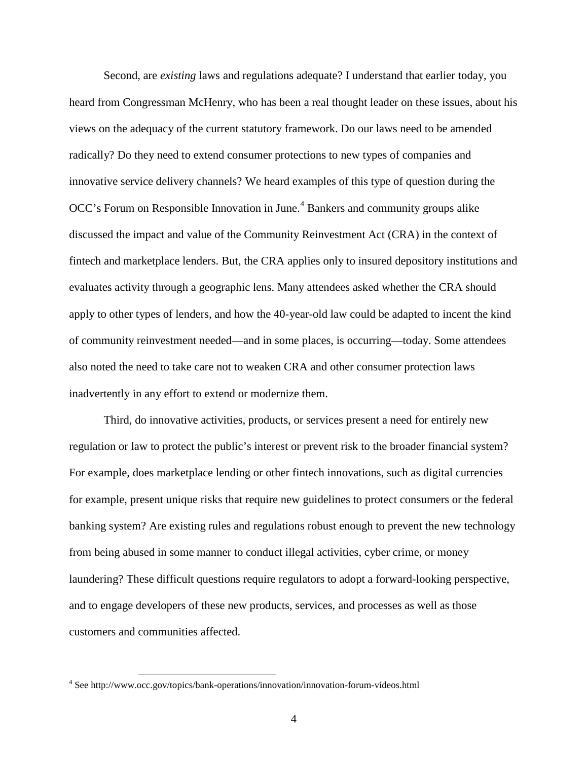Second, are *existing* laws and regulations adequate? I understand that earlier today, you heard from Congressman McHenry, who has been a real thought leader on these issues, about his views on the adequacy of the current statutory framework. Do our laws need to be amended radically? Do they need to extend consumer protections to new types of companies and innovative service delivery channels? We heard examples of this type of question during the OCC's Forum on Responsible Innovation in June. [4](#page-3-0) Bankers and community groups alike discussed the impact and value of the Community Reinvestment Act (CRA) in the context of fintech and marketplace lenders. But, the CRA applies only to insured depository institutions and evaluates activity through a geographic lens. Many attendees asked whether the CRA should apply to other types of lenders, and how the 40-year-old law could be adapted to incent the kind of community reinvestment needed—and in some places, is occurring—today. Some attendees also noted the need to take care not to weaken CRA and other consumer protection laws inadvertently in any effort to extend or modernize them.

Third, do innovative activities, products, or services present a need for entirely new regulation or law to protect the public's interest or prevent risk to the broader financial system? For example, does marketplace lending or other fintech innovations, such as digital currencies for example, present unique risks that require new guidelines to protect consumers or the federal banking system? Are existing rules and regulations robust enough to prevent the new technology from being abused in some manner to conduct illegal activities, cyber crime, or money laundering? These difficult questions require regulators to adopt a forward-looking perspective, and to engage developers of these new products, services, and processes as well as those customers and communities affected.

<span id="page-3-0"></span> <sup>4</sup> See http://www.occ.gov/topics/bank-operations/innovation/innovation-forum-videos.html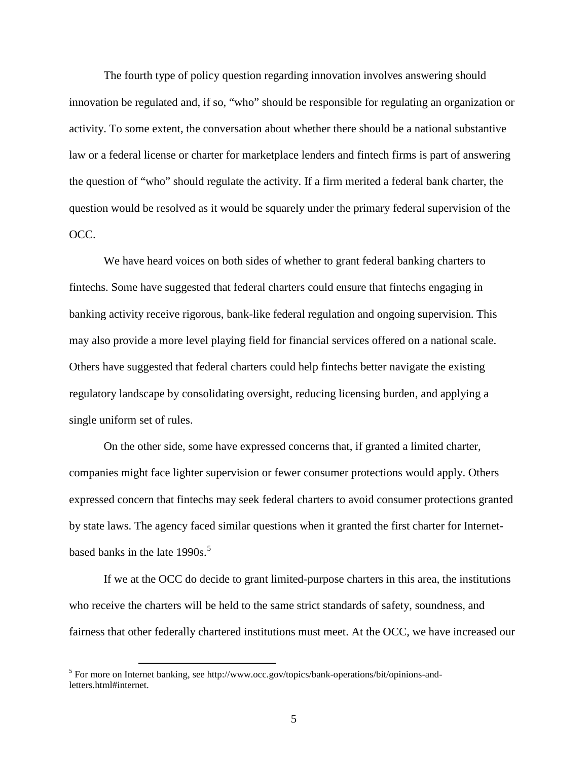The fourth type of policy question regarding innovation involves answering should innovation be regulated and, if so, "who" should be responsible for regulating an organization or activity. To some extent, the conversation about whether there should be a national substantive law or a federal license or charter for marketplace lenders and fintech firms is part of answering the question of "who" should regulate the activity. If a firm merited a federal bank charter, the question would be resolved as it would be squarely under the primary federal supervision of the OCC.

We have heard voices on both sides of whether to grant federal banking charters to fintechs. Some have suggested that federal charters could ensure that fintechs engaging in banking activity receive rigorous, bank-like federal regulation and ongoing supervision. This may also provide a more level playing field for financial services offered on a national scale. Others have suggested that federal charters could help fintechs better navigate the existing regulatory landscape by consolidating oversight, reducing licensing burden, and applying a single uniform set of rules.

On the other side, some have expressed concerns that, if granted a limited charter, companies might face lighter supervision or fewer consumer protections would apply. Others expressed concern that fintechs may seek federal charters to avoid consumer protections granted by state laws. The agency faced similar questions when it granted the first charter for Internetbased banks in the late  $1990s$ .<sup>[5](#page-4-0)</sup>

If we at the OCC do decide to grant limited-purpose charters in this area, the institutions who receive the charters will be held to the same strict standards of safety, soundness, and fairness that other federally chartered institutions must meet. At the OCC, we have increased our

<span id="page-4-0"></span> <sup>5</sup> For more on Internet banking, see http://www.occ.gov/topics/bank-operations/bit/opinions-andletters.html#internet.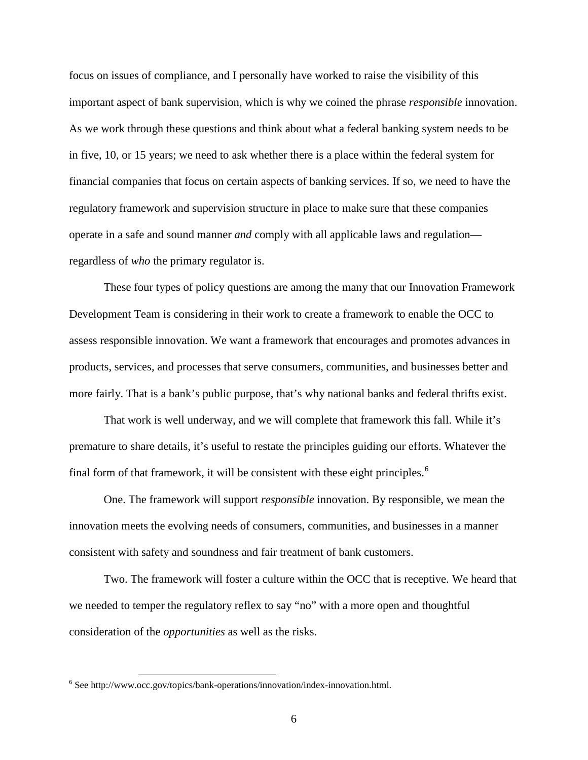focus on issues of compliance, and I personally have worked to raise the visibility of this important aspect of bank supervision, which is why we coined the phrase *responsible* innovation. As we work through these questions and think about what a federal banking system needs to be in five, 10, or 15 years; we need to ask whether there is a place within the federal system for financial companies that focus on certain aspects of banking services. If so, we need to have the regulatory framework and supervision structure in place to make sure that these companies operate in a safe and sound manner *and* comply with all applicable laws and regulation regardless of *who* the primary regulator is.

These four types of policy questions are among the many that our Innovation Framework Development Team is considering in their work to create a framework to enable the OCC to assess responsible innovation. We want a framework that encourages and promotes advances in products, services, and processes that serve consumers, communities, and businesses better and more fairly. That is a bank's public purpose, that's why national banks and federal thrifts exist.

That work is well underway, and we will complete that framework this fall. While it's premature to share details, it's useful to restate the principles guiding our efforts. Whatever the final form of that framework, it will be consistent with these eight principles.<sup>[6](#page-5-0)</sup>

One. The framework will support *responsible* innovation. By responsible, we mean the innovation meets the evolving needs of consumers, communities, and businesses in a manner consistent with safety and soundness and fair treatment of bank customers.

Two. The framework will foster a culture within the OCC that is receptive. We heard that we needed to temper the regulatory reflex to say "no" with a more open and thoughtful consideration of the *opportunities* as well as the risks.

<span id="page-5-0"></span> $6$  See http://www.occ.gov/topics/bank-operations/innovation/index-innovation.html.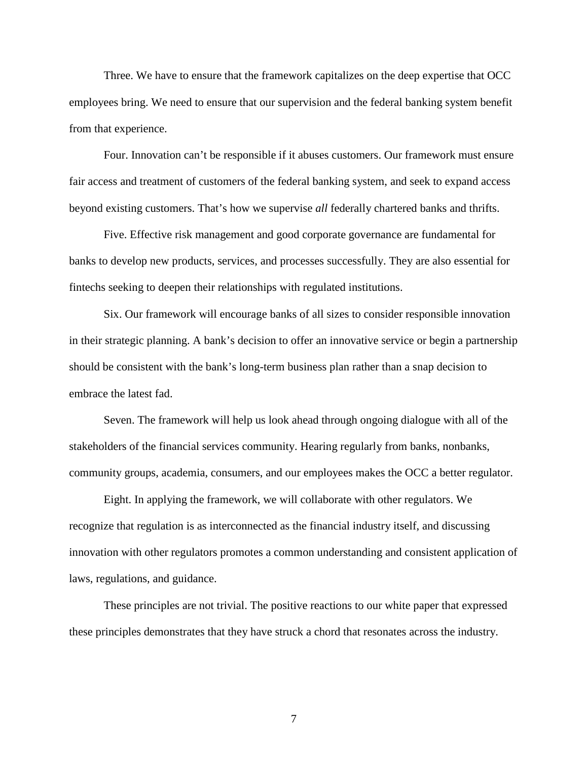Three. We have to ensure that the framework capitalizes on the deep expertise that OCC employees bring. We need to ensure that our supervision and the federal banking system benefit from that experience.

Four. Innovation can't be responsible if it abuses customers. Our framework must ensure fair access and treatment of customers of the federal banking system, and seek to expand access beyond existing customers. That's how we supervise *all* federally chartered banks and thrifts.

Five. Effective risk management and good corporate governance are fundamental for banks to develop new products, services, and processes successfully. They are also essential for fintechs seeking to deepen their relationships with regulated institutions.

Six. Our framework will encourage banks of all sizes to consider responsible innovation in their strategic planning. A bank's decision to offer an innovative service or begin a partnership should be consistent with the bank's long-term business plan rather than a snap decision to embrace the latest fad.

Seven. The framework will help us look ahead through ongoing dialogue with all of the stakeholders of the financial services community. Hearing regularly from banks, nonbanks, community groups, academia, consumers, and our employees makes the OCC a better regulator.

Eight. In applying the framework, we will collaborate with other regulators. We recognize that regulation is as interconnected as the financial industry itself, and discussing innovation with other regulators promotes a common understanding and consistent application of laws, regulations, and guidance.

These principles are not trivial. The positive reactions to our white paper that expressed these principles demonstrates that they have struck a chord that resonates across the industry.

7